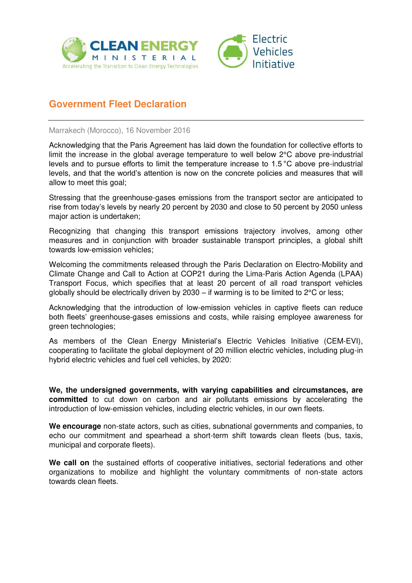



## **Government Fleet Declaration**

Marrakech (Morocco), 16 November 2016

Acknowledging that the Paris Agreement has laid down the foundation for collective efforts to limit the increase in the global average temperature to well below 2°C above pre-industrial levels and to pursue efforts to limit the temperature increase to 1.5 °C above pre-industrial levels, and that the world's attention is now on the concrete policies and measures that will allow to meet this goal;

Stressing that the greenhouse-gases emissions from the transport sector are anticipated to rise from today's levels by nearly 20 percent by 2030 and close to 50 percent by 2050 unless major action is undertaken;

Recognizing that changing this transport emissions trajectory involves, among other measures and in conjunction with broader sustainable transport principles, a global shift towards low-emission vehicles;

Welcoming the commitments released through the Paris Declaration on Electro-Mobility and Climate Change and Call to Action at COP21 during the Lima-Paris Action Agenda (LPAA) Transport Focus, which specifies that at least 20 percent of all road transport vehicles globally should be electrically driven by 2030 – if warming is to be limited to 2°C or less;

Acknowledging that the introduction of low-emission vehicles in captive fleets can reduce both fleets' greenhouse-gases emissions and costs, while raising employee awareness for green technologies;

As members of the Clean Energy Ministerial's Electric Vehicles Initiative (CEM-EVI), cooperating to facilitate the global deployment of 20 million electric vehicles, including plug-in hybrid electric vehicles and fuel cell vehicles, by 2020:

**We, the undersigned governments, with varying capabilities and circumstances, are committed** to cut down on carbon and air pollutants emissions by accelerating the introduction of low-emission vehicles, including electric vehicles, in our own fleets.

**We encourage** non-state actors, such as cities, subnational governments and companies, to echo our commitment and spearhead a short-term shift towards clean fleets (bus, taxis, municipal and corporate fleets).

**We call on** the sustained efforts of cooperative initiatives, sectorial federations and other organizations to mobilize and highlight the voluntary commitments of non-state actors towards clean fleets.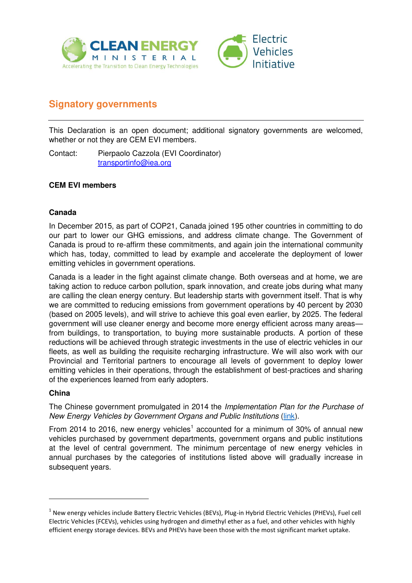



# **Signatory governments**

This Declaration is an open document; additional signatory governments are welcomed, whether or not they are CEM EVI members.

Contact: Pierpaolo Cazzola (EVI Coordinator) [transportinfo@iea.org](mailto:transportinfo@iea.org) 

## **CEM EVI members**

## **Canada**

In December 2015, as part of COP21, Canada joined 195 other countries in committing to do our part to lower our GHG emissions, and address climate change. The Government of Canada is proud to re-affirm these commitments, and again join the international community which has, today, committed to lead by example and accelerate the deployment of lower emitting vehicles in government operations.

Canada is a leader in the fight against climate change. Both overseas and at home, we are taking action to reduce carbon pollution, spark innovation, and create jobs during what many are calling the clean energy century. But leadership starts with government itself. That is why we are committed to reducing emissions from government operations by 40 percent by 2030 (based on 2005 levels), and will strive to achieve this goal even earlier, by 2025. The federal government will use cleaner energy and become more energy efficient across many areas from buildings, to transportation, to buying more sustainable products. A portion of these reductions will be achieved through strategic investments in the use of electric vehicles in our fleets, as well as building the requisite recharging infrastructure. We will also work with our Provincial and Territorial partners to encourage all levels of government to deploy lower emitting vehicles in their operations, through the establishment of best-practices and sharing of the experiences learned from early adopters.

### **China**

<u>.</u>

The Chinese government promulgated in 2014 the *Implementation Plan for the Purchase of New Energy Vehicles by Government Organs and Public Institutions* [\(link\)](http://www.ggj.gov.cn/zcfg/zcfgggjgjn/201407/t20140711_286066.htm).

From 2014 to 2016, new energy vehicles<sup>1</sup> accounted for a minimum of 30% of annual new vehicles purchased by government departments, government organs and public institutions at the level of central government. The minimum percentage of new energy vehicles in annual purchases by the categories of institutions listed above will gradually increase in subsequent years.

<sup>&</sup>lt;sup>1</sup> New energy vehicles include Battery Electric Vehicles (BEVs), Plug-in Hybrid Electric Vehicles (PHEVs), Fuel cell Electric Vehicles (FCEVs), vehicles using hydrogen and dimethyl ether as a fuel, and other vehicles with highly efficient energy storage devices. BEVs and PHEVs have been those with the most significant market uptake.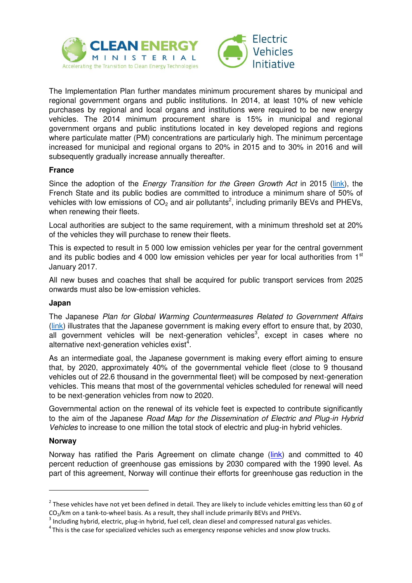



The Implementation Plan further mandates minimum procurement shares by municipal and regional government organs and public institutions. In 2014, at least 10% of new vehicle purchases by regional and local organs and institutions were required to be new energy vehicles. The 2014 minimum procurement share is 15% in municipal and regional government organs and public institutions located in key developed regions and regions where particulate matter (PM) concentrations are particularly high. The minimum percentage increased for municipal and regional organs to 20% in 2015 and to 30% in 2016 and will subsequently gradually increase annually thereafter.

### **France**

Since the adoption of the *Energy Transition for the Green Growth Act* in 2015 [\(link\)](http://www.developpement-durable.gouv.fr/-La-loi-relative-a-la-transition-.html), the French State and its public bodies are committed to introduce a minimum share of 50% of vehicles with low emissions of  $CO<sub>2</sub>$  and air pollutants<sup>2</sup>, including primarily BEVs and PHEVs, when renewing their fleets.

Local authorities are subject to the same requirement, with a minimum threshold set at 20% of the vehicles they will purchase to renew their fleets.

This is expected to result in 5 000 low emission vehicles per year for the central government and its public bodies and 4 000 low emission vehicles per year for local authorities from  $1<sup>st</sup>$ January 2017.

All new buses and coaches that shall be acquired for public transport services from 2025 onwards must also be low-emission vehicles.

### **Japan**

The Japanese *Plan for Global Warming Countermeasures Related to Government Affairs* [\(link\)](http://www.kantei.go.jp/jp/singi/ondanka/kaisai/dai35/pdf/jisshi_yoryo.pdf) illustrates that the Japanese government is making every effort to ensure that, by 2030, all government vehicles will be next-generation vehicles<sup>3</sup>, except in cases where no alternative next-generation vehicles exist<sup>4</sup>.

As an intermediate goal, the Japanese government is making every effort aiming to ensure that, by 2020, approximately 40% of the governmental vehicle fleet (close to 9 thousand vehicles out of 22.6 thousand in the governmental fleet) will be composed by next-generation vehicles. This means that most of the governmental vehicles scheduled for renewal will need to be next-generation vehicles from now to 2020.

Governmental action on the renewal of its vehicle feet is expected to contribute significantly to the aim of the Japanese *Road Map for the Dissemination of Electric and Plug-in Hybrid Vehicles* to increase to one million the total stock of electric and plug-in hybrid vehicles.

### **Norway**

<u>.</u>

Norway has ratified the Paris Agreement on climate change [\(link\)](http://www.norway-geneva.org/OTHER-TOPICS/Norway-ratified-the-Paris-Agreement/#.WCwljXkzXct) and committed to 40 percent reduction of greenhouse gas emissions by 2030 compared with the 1990 level. As part of this agreement, Norway will continue their efforts for greenhouse gas reduction in the

<sup>&</sup>lt;sup>2</sup> These vehicles have not yet been defined in detail. They are likely to include vehicles emitting less than 60 g of CO<sub>2</sub>/km on a tank-to-wheel basis. As a result, they shall include primarily BEVs and PHEVs.

 $3$  Including hybrid, electric, plug-in hybrid, fuel cell, clean diesel and compressed natural gas vehicles.

 $4$ This is the case for specialized vehicles such as emergency response vehicles and snow plow trucks.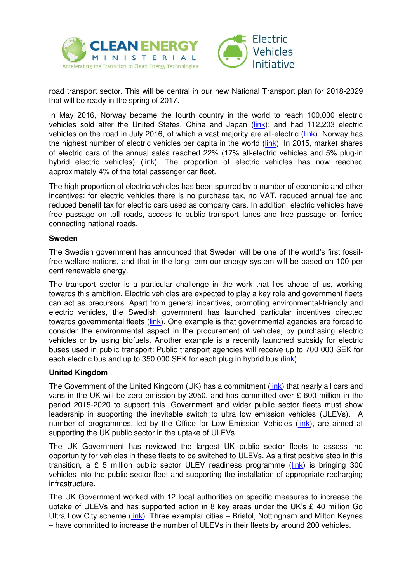



road transport sector. This will be central in our new National Transport plan for 2018-2029 that will be ready in the spring of 2017.

In May 2016, Norway became the fourth country in the world to reach 100,000 electric vehicles sold after the United States, China and Japan [\(link\)](http://www.hybridcars.com/norway-is-fourth-country-to-register-100000-plug-in-cars/); and had 112,203 electric vehicles on the road in July 2016, of which a vast majority are all-electric [\(link\)](http://elbil.no/english/norwegian-ev-market/). Norway has the highest number of electric vehicles per capita in the world [\(link\)](https://www.toi.no/getfile.php?mmfileid=41187). In 2015, market shares of electric cars of the annual sales reached 22% (17% all-electric vehicles and 5% plug-in hybrid electric vehicles) [\(link\)](http://www.eafo.eu/content/norway). The proportion of electric vehicles has now reached approximately 4% of the total passenger car fleet.

The high proportion of electric vehicles has been spurred by a number of economic and other incentives: for electric vehicles there is no purchase tax, no VAT, reduced annual fee and reduced benefit tax for electric cars used as company cars. In addition, electric vehicles have free passage on toll roads, access to public transport lanes and free passage on ferries connecting national roads.

#### **Sweden**

The Swedish government has announced that Sweden will be one of the world's first fossilfree welfare nations, and that in the long term our energy system will be based on 100 per cent renewable energy.

The transport sector is a particular challenge in the work that lies ahead of us, working towards this ambition. Electric vehicles are expected to play a key role and government fleets can act as precursors. Apart from general incentives, promoting environmental-friendly and electric vehicles, the Swedish government has launched particular incentives directed towards governmental fleets [\(link\)](https://www.riksdagen.se/sv/dokument-lagar/dokument/svensk-forfattningssamling/forordning-20091-om-miljo--och_sfs-2009-1). One example is that governmental agencies are forced to consider the environmental aspect in the procurement of vehicles, by purchasing electric vehicles or by using biofuels. Another example is a recently launched subsidy for electric buses used in public transport: Public transport agencies will receive up to 700 000 SEK for each electric bus and up to 350 000 SEK for each plug in hybrid bus [\(link\)](https://www.riksdagen.se/sv/dokument-lagar/dokument/svensk-forfattningssamling/forordning-2016836-om-elbusspremie_sfs-2016-836).

### **United Kingdom**

The Government of the United Kingdom (UK) has a commitment [\(link\)](http://s3-eu-west-1.amazonaws.com/manifesto2015/ConservativeManifesto2015.pdf) that nearly all cars and vans in the UK will be zero emission by 2050, and has committed over £ 600 million in the period 2015-2020 to support this. Government and wider public sector fleets must show leadership in supporting the inevitable switch to ultra low emission vehicles (ULEVs). A number of programmes, led by the Office for Low Emission Vehicles [\(link\)](http://www.gov.uk/olev), are aimed at supporting the UK public sector in the uptake of ULEVs.

The UK Government has reviewed the largest UK public sector fleets to assess the opportunity for vehicles in these fleets to be switched to ULEVs. As a first positive step in this transition, a  $E$  5 million public sector ULEV readiness programme [\(link\)](https://www.gov.uk/government/publications/ultra-low-emission-vehicles-getting-wider-public-sector-fleets-ready) is bringing 300 vehicles into the public sector fleet and supporting the installation of appropriate recharging infrastructure.

The UK Government worked with 12 local authorities on specific measures to increase the uptake of ULEVs and has supported action in 8 key areas under the UK's  $E$  40 million Go Ultra Low City scheme ( $link$ ). Three exemplar cities – Bristol, Nottingham and Milton Keynes – have committed to increase the number of ULEVs in their fleets by around 200 vehicles.